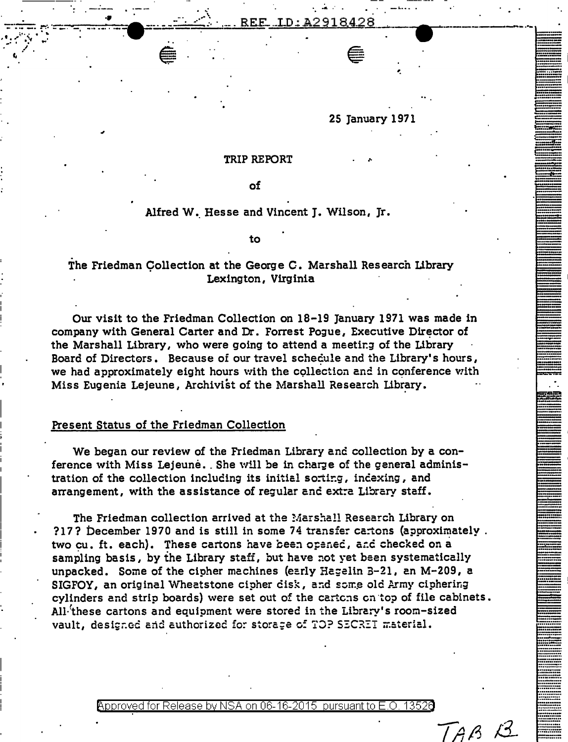25 Tanuary 1971

#### TRIP REPORT

оf

### Alfred W. Hesse and Vincent J. Wilson, Jr.

to

# The Friedman Collection at the George C. Marshall Research Library Lexington, Virginia

Our visit to the Friedman Collection on 18-19 January 1971 was made in company with General Carter and Dr. Forrest Pogue, Executive Director of the Marshall Library, who were going to attend a meeting of the Library Board of Directors. Because of our travel schedule and the Library's hours, we had approximately eight hours with the collection and in conference with Miss Eugenia Lejeune, Archivist of the Marshall Research Library.

#### Present Status of the Friedman Collection

We began our review of the Friedman Library and collection by a conference with Miss Lejeune. She will be in charge of the general administration of the collection including its initial sorting, indexing, and arrangement, with the assistance of regular and extra Library staff.

The Friedman collection arrived at the Marshall Research Library on ?17? December 1970 and is still in some 74 transfer cartons (approximately. two cu, ft, each). These cartons have been opened, and checked on a sampling basis, by the Library staff, but have not yet been systematically unpacked. Some of the cipher machines (early Hagelin 3-21, an M-209, a SIGFOY, an original Wheatstone cipher cisk, and some old Army ciphering cylinders and strip boards) were set out of the cartons on top of file cabinets. All these cartons and equipment were stored in the Library's room-sized vault, designed and authorized for storage of TOP SECRET material.

Approved for Release by NSA on 06-16-2015 pursuant to E.O.

TAB<sub>B</sub>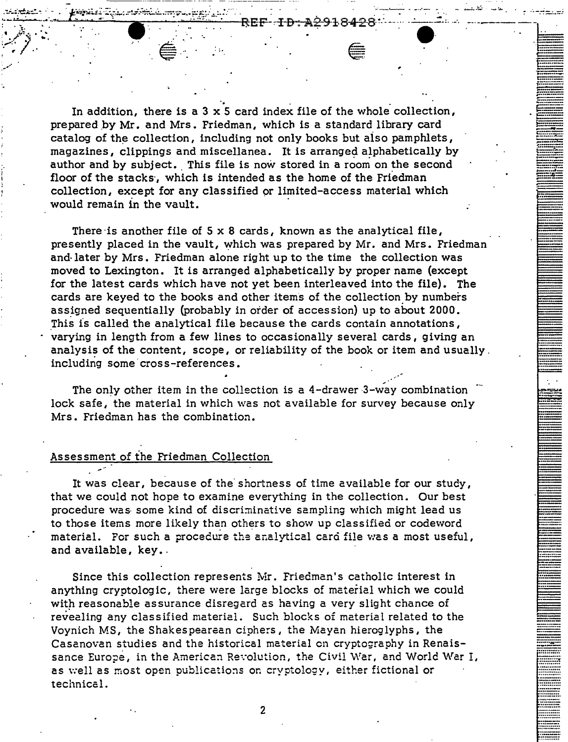In addition, there is a  $3 \times 5$  card index file of the whole collection, prepared by Mr. and Mrs. Friedman, which is a standard library card catalog of the collection, including not only books but aiso pamphlets, magazines, clippings and miscellanea. It is arranged alphabetically by author and by subject. This file is now stored in a room on the second floor of the stacks, which is intended as the home of the Friedman collection, except for any classified or limited-access material which would remain in the vault.

·-----··-----·-----·- ------- --- ·-·-··------------ -·--·

.-: . .;\_;· . ...:.-::: .. :": .... . '--~· .... ·-":.\·  $\mathbf{r} = \mathbf{r}_1 \mathbf{r}_2 \mathbf{r}_3$  $\sum_{i=1}^n\binom{n-i}{i}$ r .

' ; ... -···

> There is another file of  $5 \times 8$  cards, known as the analytical file, presently placed in the vault, which was prepared by Mr. and Mrs. Friedman and· later by Mrs. Friedman alone right up to the time the collection was moved to Lexington. It is arranged alphabetically by proper name (except for the latest cards which have not yet been interleaved into the file}. The cards are keyed to the books and other items of the collection by numbers assigned sequentially (probably in order of accession) up to about 2000. This is called the analytical file because the cards contain annotations, varying in length from a few lines to occasionally several cards, giving an analysis of the content, scope, or reliability of the book or item and usually. including some cross-references.

The only other item in the collection is a 4-drawer 3-way combination lock safe, the material in which was not available for survey because only Mrs. Friedman has the combination.

#### Assessment of the Friedman Collection

It was clear, because of the shortness of time available for our study, that we could not hope to examine everything in the collection. Our best procedure was some kind of discriminative sampling which might lead us to those items more likely than others to show up classified or codeword material. For such a procedure the analytical card file was a most useful, and available, key.

Since this collection represents Mr. Friedman's catholic interest in anything cryptologic, there were large blocks of material which we could with reasonable assurance disregard as having a very slight chance of revealing any classified material. Such blocks of material related to the Voynich MS, the Shakespearean ciphers, the Mayan hieroglyphs, the Casanovan studies and the historical material on cryptography in Renaissance Europe, in the American Revolution, the Civil War, and World War I, as well as most open publications on cryptology, either fictional or technical.

2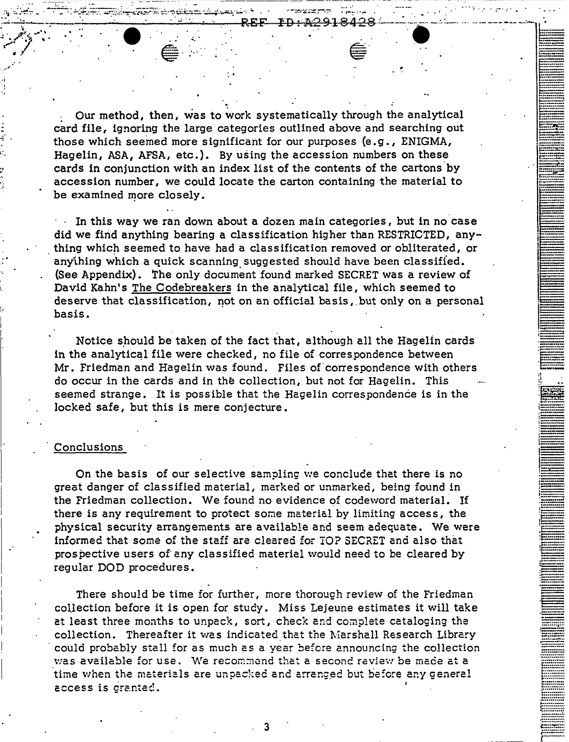: Our method, then, was to work systematically through the analytical card file, ignoring the large categories outlined above and searching out those which seemed more significant for our purposes (e.g. I ENIGMA, Hagelin, ASA, AFSA, etc.). By using the accession numbers on these cards in conjunction with an index list of the contents of the cartons by accession number, we could locate the carton containing the material to be examined more closely.

: .

In this way we ran down about a dozen main categories, but in no case did we find anything bearing a classification higher than RESTRICTED, any thing which seemed to have had a classification removed or obliterated, or anything which a quick scanning. suggested should have been classified. (See Appendix). The only document found marked SECRET was a review of David Kahn's The C odebreakers in the analytical file, which seemed to deserve that classification, not on an official basis, but only on a personal basis.

Notice should be taken of the fact that, although all the Hagelin cards in the analytical file were checked, no file of correspondence between Mr. Friedman and Hagelin was found. Files of correspondence with others do occur in the cards and in the collection, but not for Hagelin. This seemed strange. It is possible that the Hagelin correspondence is in the locked safe, but this is mere conjecture.

·--···-- *·c-=:::=::*  §····-···· . ·--- --

·-········· ·-··- ·······-··· ·····--·· =:."".7:=:::=.

*t::::::::::.*  ~jj~~~~~~~- , .......... . :::::::::::: 6o······-·· t:::::::::::: *........... :.*  **...........** *;:.·:::..·: .. ·.:·:* [" *........ \_* 

## **Conclusions**

.. · .. ··.,..· .. .. *.* : ... "" "'"".·· .... - . ~ ...  $=$   $\frac{1}{2}$   $\frac{1}{2}$   $\frac{1}{2}$   $\frac{1}{2}$   $\frac{1}{2}$   $\frac{1}{2}$   $\frac{1}{2}$   $\frac{1}{2}$   $\frac{1}{2}$   $\frac{1}{2}$   $\frac{1}{2}$   $\frac{1}{2}$   $\frac{1}{2}$   $\frac{1}{2}$   $\frac{1}{2}$   $\frac{1}{2}$   $\frac{1}{2}$   $\frac{1}{2}$   $\frac{1}{2}$   $\frac{1}{2}$   $\frac{1}{2}$   $\frac{1}{2$ . ~: .. /.-/;..; *... ·.:* . ,,,.,.. . •

• .1 •

 $\ddot{\dot{z}}$  .

··. ~! .•. ,·. ·'

!..:

On the basis of our selective sampling we conclude that there is no great danger of classified material, marked or unmarked, being found in the Friedman collection. We found no evidence of codeword material. If there is any requirement to protect some material by limiting access, the physical security arrangements are available and seem adequate. We were informed that some of the staff are cleared for TO? SECRET and also that prospective users of any classified material would need to be cleared by regular DOD procedures.

There should be time for further, more thorough review of the Friedman collection before it is open for study. Miss Lejeune estimates it will take at least three months to unpack, sort, check and complete cataloging the collection. Thereafter it was indicated that the Marshall Research Library · could probably stall for as much as a year before announcing the collection was available for use. We recommend that a second review be made at a time when the materials are unpacked and arranged but before any general - ... cec:.s i·s c·.- ..... -,.~ **C""'** - *.;:.* **C-.1.;.LC:"".** •

. 3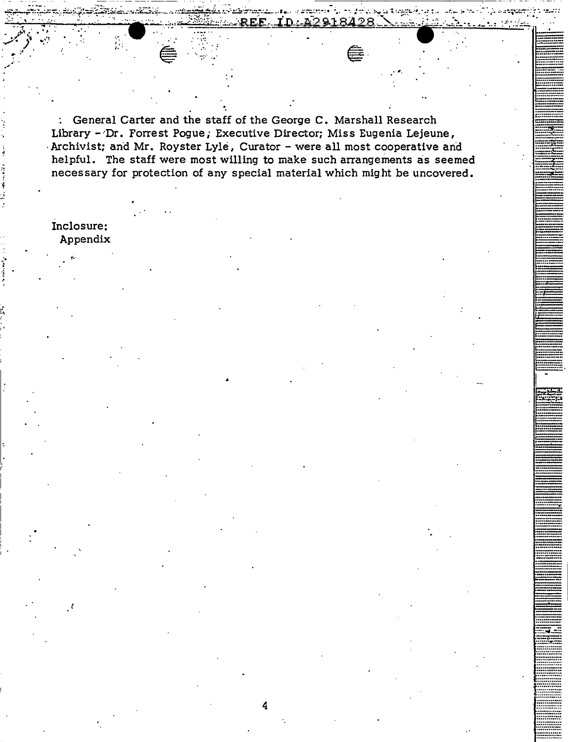: General Carter and the staff of the George C. Marshall Research Library - Dr. Forrest Pogue; Executive Director; Miss Eugenia Lejeune, - Archivist; and Mr. Royster Lyle, Curator - were all most cooperative and helpful. The staff were most willing to make such arrangements as seemed necessary for protection of any special material which might be uncovered.

REF

na spatingportatu

D: 42918428

Inclosure: Appendix